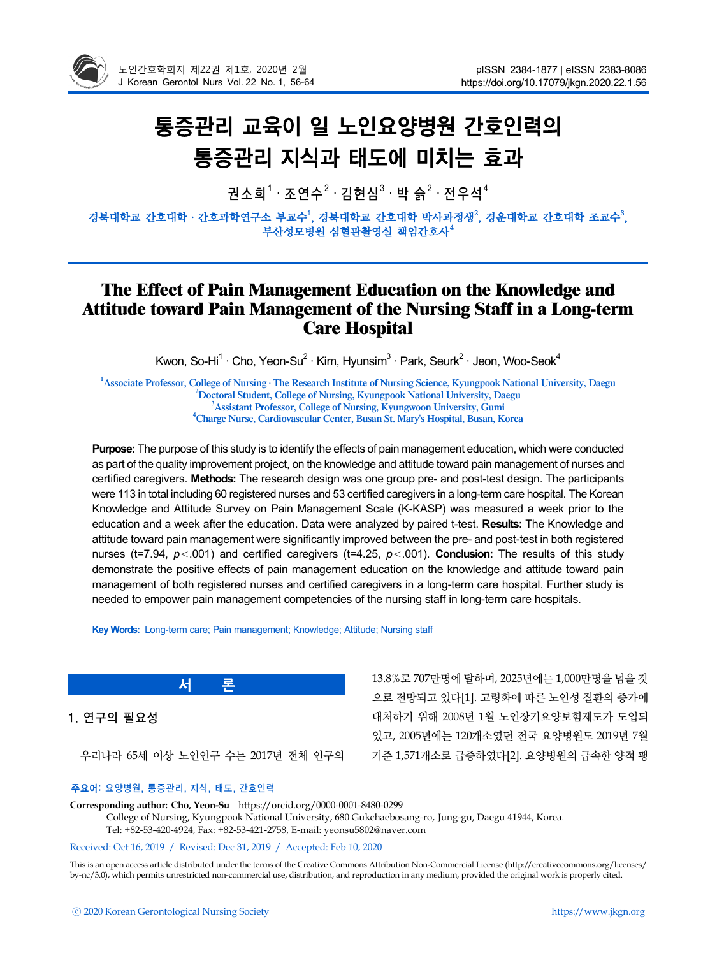

# 통증관리 교육이 일 노인요양병원 간호인력의 통증관리 지식과 태도에 미치는 효과

권소희 $^1\cdot$  조연수 $^2\cdot$  김현심 $^3\cdot$  박 슭 $^2\cdot$  전우석 $^4$ 

경북대학교 간호대학 · 간호과학연구소 부교수<sup>1</sup>, 경북대학교 간호대학 박사과정생<sup>2</sup>, 경운대학교 간호대학 조교수<sup>3</sup>, 부산성모병원 심혈관촬영실 책임간호사<sup>4</sup>

# **The Effect of Pain Management Education on the Knowledge and Attitude toward Pain Management of the Nursing Staff in a Long-term Care Hospital**

Kwon, So-Hi<sup>1</sup> · Cho, Yeon-Su<sup>2</sup> · Kim, Hyunsim<sup>3</sup> · Park, Seurk<sup>2</sup> · Jeon, Woo-Seok<sup>4</sup>

<sup>1</sup> Associate Professor, College of Nursing **· The Research Institute of Nursing Science**, Kyungpook National University, Daegu <sup>2</sup> Doctoral Student, College of Nursing, Kyungpook National University, Daegu **Assistant Professor, College of Nursing, Kyungwoon University, Gumi <sup>4</sup> Charge Nurse, Cardiovascular Center, Busan St. Mary's Hospital, Busan, Korea**

**Purpose:** The purpose of this study is to identify the effects of pain management education, which were conducted as part of the quality improvement project, on the knowledge and attitude toward pain management of nurses and certified caregivers. **Methods:** The research design was one group pre- and post-test design. The participants were 113 in total including 60 registered nurses and 53 certified caregivers in a long-term care hospital. The Korean Knowledge and Attitude Survey on Pain Management Scale (K-KASP) was measured a week prior to the education and a week after the education. Data were analyzed by paired t-test. **Results:** The Knowledge and attitude toward pain management were significantly improved between the pre- and post-test in both registered nurses (t=7.94,  $p < .001$ ) and certified caregivers (t=4.25,  $p < .001$ ). **Conclusion:** The results of this study demonstrate the positive effects of pain management education on the knowledge and attitude toward pain management of both registered nurses and certified caregivers in a long-term care hospital. Further study is needed to empower pain management competencies of the nursing staff in long-term care hospitals.

**Key Words:** Long-term care; Pain management; Knowledge; Attitude; Nursing staff

1. 연구의 필요성

우리나라 65세 이상 노인인구 수는 2017년 전체 인구의

**서 론**

13.8%로 707만명에 달하며, 2025년에는 1,000만명을 넘을 것 으로 전망되고 있다[1]. 고령화에 따른 노인성 질환의 증가에 대처하기 위해 2008년 1월 노인장기요양보험제도가 도입되 었고, 2005년에는 120개소였던 전국 요양병원도 2019년 7월 기준 1,571개소로 급증하였다[2]. 요양병원의 급속한 양적 팽

### 주요어: 요양병원, 통증관리, 지식, 태도, 간호인력

**Corresponding author: Cho, Yeon-Su** https://orcid.org/0000-0001-8480-0299 College of Nursing, Kyungpook National University, 680 Gukchaebosang-ro, Jung-gu, Daegu 41944, Korea. Tel: +82-53-420-4924, Fax: +82-53-421-2758, E-mail: yeonsu5802@naver.com

#### Received: Oct 16, 2019 / Revised: Dec 31, 2019 / Accepted: Feb 10, 2020

This is an open access article distributed under the terms of the Creative Commons Attribution Non-Commercial License (http://creativecommons.org/licenses/ by-nc/3.0), which permits unrestricted non-commercial use, distribution, and reproduction in any medium, provided the original work is properly cited.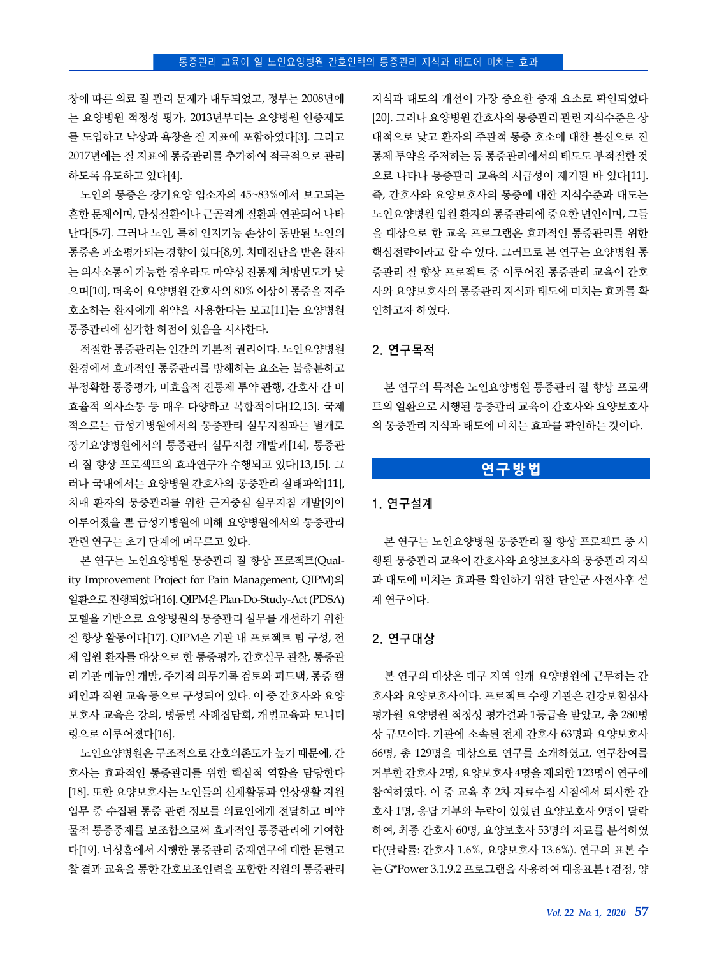창에 따른 의료 질 관리 문제가 대두되었고, 정부는 2008년에 는 요양병원 적정성 평가, 2013년부터는 요양병원 인증제도 를 도입하고 낙상과 욕창을 질 지표에 포함하였다[3]. 그리고 2017년에는 질 지표에 통증관리를 추가하여 적극적으로 관리 하도록 유도하고 있다[4].

노인의 통증은 장기요양 입소자의 45~83%에서 보고되는 흔한 문제이며, 만성질환이나 근골격계 질환과 연관되어 나타 난다[5-7]. 그러나 노인, 특히 인지기능 손상이 동반된 노인의 통증은 과소평가되는 경향이 있다[8,9]. 치매진단을 받은 환자 는 의사소통이 가능한 경우라도 마약성 진통제 처방빈도가 낮 으며[10], 더욱이 요양병원 간호사의 80% 이상이 통증을 자주 호소하는 환자에게 위약을 사용한다는 보고[11]는 요양병원 통증관리에 심각한 허점이 있음을 시사한다.

적절한 통증관리는 인간의 기본적 권리이다. 노인요양병원 환경에서 효과적인 통증관리를 방해하는 요소는 불충분하고 부정확한 통증평가, 비효율적 진통제 투약 관행, 간호사 간 비 효율적 의사소통 등 매우 다양하고 복합적이다[12,13]. 국제 적으로는 급성기병원에서의 통증관리 실무지침과는 별개로 장기요양병원에서의 통증관리 실무지침 개발과[14], 통증관 리 질 향상 프로젝트의 효과연구가 수행되고 있다[13,15]. 그 러나 국내에서는 요양병원 간호사의 통증관리 실태파악[11], 치매 환자의 통증관리를 위한 근거중심 실무지침 개발[9]이 이루어졌을 뿐 급성기병원에 비해 요양병원에서의 통증관리 관련 연구는 초기 단계에 머무르고 있다.

본 연구는 노인요양병원 통증관리 질 향상 프로젝트(Quality Improvement Project for Pain Management, QIPM)의 일환으로 진행되었다[16]. QIPM은 Plan-Do-Study-Act (PDSA) 모델을 기반으로 요양병원의 통증관리 실무를 개선하기 위한 질 향상 활동이다[17]. QIPM은 기관 내 프로젝트 팀 구성, 전 체 입원 환자를 대상으로 한 통증평가, 간호실무 관찰, 통증관 리 기관 매뉴얼 개발, 주기적 의무기록 검토와 피드백, 통증 캠 페인과 직원 교육 등으로 구성되어 있다. 이 중 간호사와 요양 보호사 교육은 강의, 병동별 사례집담회, 개별교육과 모니터 링으로 이루어졌다[16].

노인요양병원은 구조적으로 간호의존도가 높기 때문에, 간 호사는 효과적인 통증관리를 위한 핵심적 역할을 담당한다 [18]. 또한 요양보호사는 노인들의 신체활동과 일상생활 지원 업무 중 수집된 통증 관련 정보를 의료인에게 전달하고 비약 물적 통증중재를 보조함으로써 효과적인 통증관리에 기여한 다[19]. 너싱홈에서 시행한 통증관리 중재연구에 대한 문헌고 찰 결과 교육을 통한 간호보조인력을 포함한 직원의 통증관리 지식과 태도의 개선이 가장 중요한 중재 요소로 확인되었다 [20]. 그러나 요양병원 간호사의 통증관리 관련 지식수준은 상 대적으로 낮고 환자의 주관적 통증 호소에 대한 불신으로 진 통제 투약을 주저하는 등 통증관리에서의 태도도 부적절한 것 으로 나타나 통증관리 교육의 시급성이 제기된 바 있다[11]. 즉, 간호사와 요양보호사의 통증에 대한 지식수준과 태도는 노인요양병원 입원 환자의 통증관리에 중요한 변인이며, 그들 을 대상으로 한 교육 프로그램은 효과적인 통증관리를 위한 핵심전략이라고 할 수 있다. 그러므로 본 연구는 요양병원 통 증관리 질 향상 프로젝트 중 이루어진 통증관리 교육이 간호 사와 요양보호사의 통증관리 지식과 태도에 미치는 효과를 확 인하고자 하였다.

#### 2. 연구목적

본 연구의 목적은 노인요양병원 통증관리 질 향상 프로젝 트의 일환으로 시행된 통증관리 교육이 간호사와 요양보호사 의 통증관리 지식과 태도에 미치는 효과를 확인하는 것이다.

# **연구방법**

#### 1. 연구설계

본 연구는 노인요양병원 통증관리 질 향상 프로젝트 중 시 행된 통증관리 교육이 간호사와 요양보호사의 통증관리 지식 과 태도에 미치는 효과를 확인하기 위한 단일군 사전사후 설 계 연구이다.

## 2. 연구대상

본 연구의 대상은 대구 지역 일개 요양병원에 근무하는 간 호사와 요양보호사이다. 프로젝트 수행 기관은 건강보험심사 평가원 요양병원 적정성 평가결과 1등급을 받았고, 총 280병 상 규모이다. 기관에 소속된 전체 간호사 63명과 요양보호사 66명, 총 129명을 대상으로 연구를 소개하였고, 연구참여를 거부한 간호사 2명, 요양보호사 4명을 제외한 123명이 연구에 참여하였다. 이 중 교육 후 2차 자료수집 시점에서 퇴사한 간 호사 1명, 응답 거부와 누락이 있었던 요양보호사 9명이 탈락 하여, 최종 간호사 60명, 요양보호사 53명의 자료를 분석하였 다(탈락률: 간호사 1.6%, 요양보호사 13.6%). 연구의 표본 수 는 G\*Power 3.1.9.2 프로그램을 사용하여 대응표본 t 검정, 양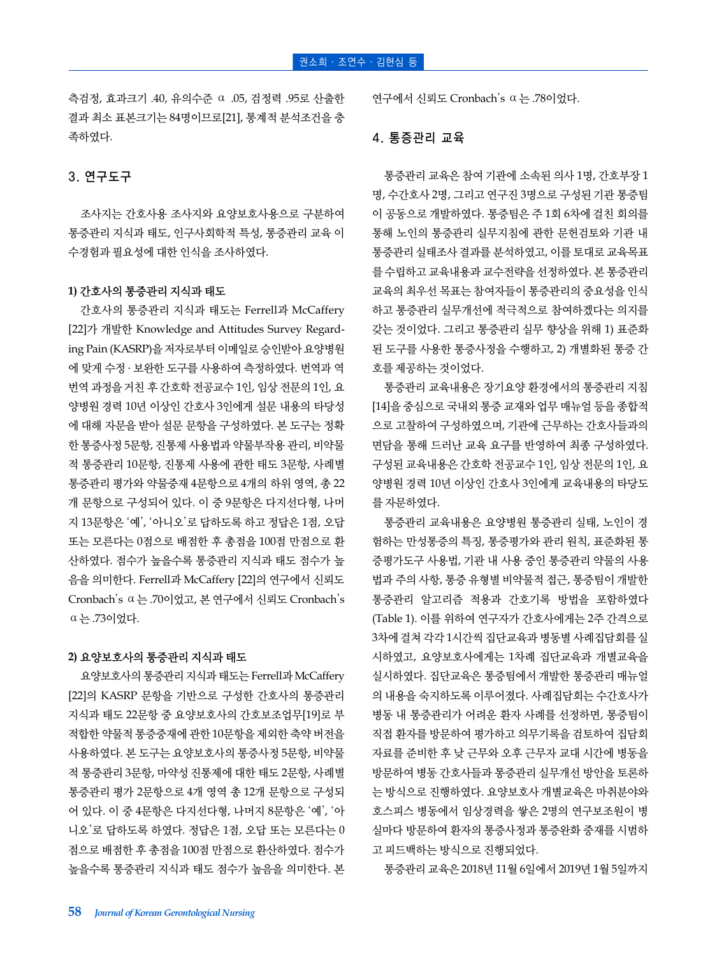측검정, 효과크기 .40, 유의수준 ⍺ .05, 검정력 .95로 산출한 결과 최소 표본크기는 84명이므로[21], 통계적 분석조건을 충 족하였다.

## 3. 연구도구

조사지는 간호사용 조사지와 요양보호사용으로 구분하여 통증관리 지식과 태도, 인구사회학적 특성, 통증관리 교육 이 수경험과 필요성에 대한 인식을 조사하였다.

#### **1)** 간호사의 통증관리 지식과 태도

간호사의 통증관리 지식과 태도는 Ferrell과 McCaffery [22]가 개발한 Knowledge and Attitudes Survey Regarding Pain (KASRP)을 저자로부터 이메일로 승인받아 요양병원 에 맞게 수정 ․ 보완한 도구를 사용하여 측정하였다. 번역과 역 번역 과정을 거친 후 간호학 전공교수 1인, 임상 전문의 1인, 요 양병원 경력 10년 이상인 간호사 3인에게 설문 내용의 타당성 에 대해 자문을 받아 설문 문항을 구성하였다. 본 도구는 정확 한 통증사정 5문항, 진통제 사용법과 약물부작용 관리, 비약물 적 통증관리 10문항, 진통제 사용에 관한 태도 3문항, 사례별 통증관리 평가와 약물중재 4문항으로 4개의 하위 영역, 총 22 개 문항으로 구성되어 있다. 이 중 9문항은 다지선다형, 나머 지 13문항은 '예', '아니오'로 답하도록 하고 정답은 1점, 오답 또는 모른다는 0점으로 배점한 후 총점을 100점 만점으로 환 산하였다. 점수가 높을수록 통증관리 지식과 태도 점수가 높 음을 의미한다. Ferrell과 McCaffery [22]의 연구에서 신뢰도 Cronbach's ⍺는 .70이었고, 본 연구에서 신뢰도 Cronbach's ⍺는 .73이었다.

#### **2)** 요양보호사의 통증관리 지식과 태도

요양보호사의 통증관리 지식과 태도는 Ferrell과 McCaffery [22]의 KASRP 문항을 기반으로 구성한 간호사의 통증관리 지식과 태도 22문항 중 요양보호사의 간호보조업무[19]로 부 적합한 약물적 통증중재에 관한 10문항을 제외한 축약 버전을 사용하였다. 본 도구는 요양보호사의 통증사정 5문항, 비약물 적 통증관리 3문항, 마약성 진통제에 대한 태도 2문항, 사례별 통증관리 평가 2문항으로 4개 영역 총 12개 문항으로 구성되 어 있다. 이 중 4문항은 다지선다형, 나머지 8문항은 '예', '아 니오'로 답하도록 하였다. 정답은 1점, 오답 또는 모른다는 0 점으로 배점한 후 총점을 100점 만점으로 환산하였다. 점수가 높을수록 통증관리 지식과 태도 점수가 높음을 의미한다. 본 연구에서 신뢰도 Cronbach's ⍺는 .78이었다.

### 4. 통증관리 교육

통증관리 교육은 참여 기관에 소속된 의사 1명, 간호부장 1 명, 수간호사 2명, 그리고 연구진 3명으로 구성된 기관 통증팀 이 공동으로 개발하였다. 통증팀은 주 1회 6차에 걸친 회의를 통해 노인의 통증관리 실무지침에 관한 문헌검토와 기관 내 통증관리 실태조사 결과를 분석하였고, 이를 토대로 교육목표 를 수립하고 교육내용과 교수전략을 선정하였다. 본 통증관리 교육의 최우선 목표는 참여자들이 통증관리의 중요성을 인식 하고 통증관리 실무개선에 적극적으로 참여하겠다는 의지를 갖는 것이었다. 그리고 통증관리 실무 향상을 위해 1) 표준화 된 도구를 사용한 통증사정을 수행하고, 2) 개별화된 통증 간 호를 제공하는 것이었다.

통증관리 교육내용은 장기요양 환경에서의 통증관리 지침 [14]을 중심으로 국내외 통증 교재와 업무 매뉴얼 등을 종합적 으로 고찰하여 구성하였으며, 기관에 근무하는 간호사들과의 면담을 통해 드러난 교육 요구를 반영하여 최종 구성하였다. 구성된 교육내용은 간호학 전공교수 1인, 임상 전문의 1인, 요 양병원 경력 10년 이상인 간호사 3인에게 교육내용의 타당도 를 자문하였다.

통증관리 교육내용은 요양병원 통증관리 실태, 노인이 경 험하는 만성통증의 특징, 통증평가와 관리 원칙, 표준화된 통 증평가도구 사용법, 기관 내 사용 중인 통증관리 약물의 사용 법과 주의 사항, 통증 유형별 비약물적 접근, 통증팀이 개발한 통증관리 알고리즘 적용과 간호기록 방법을 포함하였다 (Table 1). 이를 위하여 연구자가 간호사에게는 2주 간격으로 3차에 걸쳐 각각 1시간씩 집단교육과 병동별 사례집담회를 실 시하였고, 요양보호사에게는 1차례 집단교육과 개별교육을 실시하였다. 집단교육은 통증팀에서 개발한 통증관리 매뉴얼 의 내용을 숙지하도록 이루어졌다. 사례집담회는 수간호사가 병동 내 통증관리가 어려운 환자 사례를 선정하면, 통증팀이 직접 환자를 방문하여 평가하고 의무기록을 검토하여 집담회 자료를 준비한 후 낮 근무와 오후 근무자 교대 시간에 병동을 방문하여 병동 간호사들과 통증관리 실무개선 방안을 토론하 는 방식으로 진행하였다. 요양보호사 개별교육은 마취분야와 호스피스 병동에서 임상경력을 쌓은 2명의 연구보조원이 병 실마다 방문하여 환자의 통증사정과 통증완화 중재를 시범하 고 피드백하는 방식으로 진행되었다.

통증관리 교육은 2018년 11월 6일에서 2019년 1월 5일까지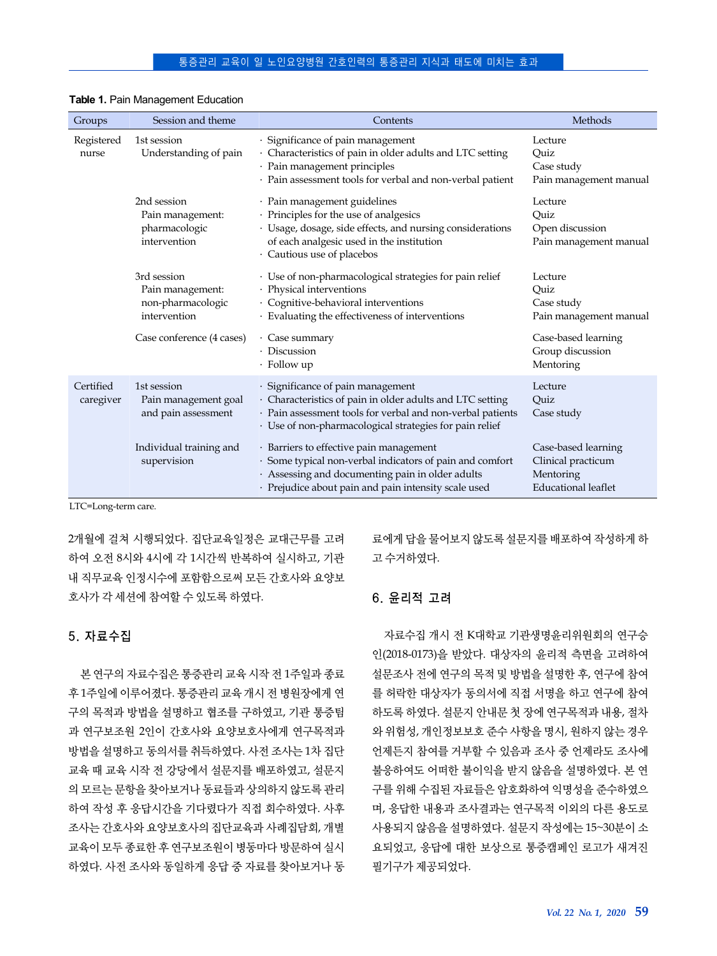| Groups                 | Session and theme                                                    | Contents                                                                                                                                                                                                                | Methods                                                                              |
|------------------------|----------------------------------------------------------------------|-------------------------------------------------------------------------------------------------------------------------------------------------------------------------------------------------------------------------|--------------------------------------------------------------------------------------|
| Registered<br>nurse    | 1st session<br>Understanding of pain                                 | · Significance of pain management<br>· Characteristics of pain in older adults and LTC setting<br>· Pain management principles<br>· Pain assessment tools for verbal and non-verbal patient                             | Lecture<br>Quiz<br>Case study<br>Pain management manual                              |
|                        | 2nd session<br>Pain management:<br>pharmacologic<br>intervention     | · Pain management guidelines<br>· Principles for the use of analgesics<br>· Usage, dosage, side effects, and nursing considerations<br>of each analgesic used in the institution<br>· Cautious use of placebos          | Lecture<br>Quiz<br>Open discussion<br>Pain management manual                         |
|                        | 3rd session<br>Pain management:<br>non-pharmacologic<br>intervention | · Use of non-pharmacological strategies for pain relief<br>· Physical interventions<br>· Cognitive-behavioral interventions<br>· Evaluating the effectiveness of interventions                                          | Lecture<br>Ouiz<br>Case study<br>Pain management manual                              |
|                        | Case conference (4 cases)                                            | · Case summary<br>· Discussion<br>$\cdot$ Follow up                                                                                                                                                                     | Case-based learning<br>Group discussion<br>Mentoring                                 |
| Certified<br>caregiver | 1st session<br>Pain management goal<br>and pain assessment           | · Significance of pain management<br>· Characteristics of pain in older adults and LTC setting<br>· Pain assessment tools for verbal and non-verbal patients<br>· Use of non-pharmacological strategies for pain relief | Lecture<br>Quiz<br>Case study                                                        |
|                        | Individual training and<br>supervision                               | · Barriers to effective pain management<br>· Some typical non-verbal indicators of pain and comfort<br>· Assessing and documenting pain in older adults<br>· Prejudice about pain and pain intensity scale used         | Case-based learning<br>Clinical practicum<br>Mentoring<br><b>Educational leaflet</b> |

#### **Table 1.** Pain Management Education

LTC=Long-term care.

2개월에 걸쳐 시행되었다. 집단교육일정은 교대근무를 고려 하여 오전 8시와 4시에 각 1시간씩 반복하여 실시하고, 기관 내 직무교육 인정시수에 포함함으로써 모든 간호사와 요양보 호사가 각 세션에 참여할 수 있도록 하였다.

### 5. 자료수집

본 연구의 자료수집은 통증관리 교육 시작 전 1주일과 종료 후 1주일에 이루어졌다. 통증관리 교육 개시 전 병원장에게 연 구의 목적과 방법을 설명하고 협조를 구하였고, 기관 통증팀 과 연구보조원 2인이 간호사와 요양보호사에게 연구목적과 방법을 설명하고 동의서를 취득하였다. 사전 조사는 1차 집단 교육 때 교육 시작 전 강당에서 설문지를 배포하였고, 설문지 의 모르는 문항을 찾아보거나 동료들과 상의하지 않도록 관리 하여 작성 후 응답시간을 기다렸다가 직접 회수하였다. 사후 조사는 간호사와 요양보호사의 집단교육과 사례집담회, 개별 교육이 모두 종료한 후 연구보조원이 병동마다 방문하여 실시 하였다. 사전 조사와 동일하게 응답 중 자료를 찾아보거나 동

료에게 답을 물어보지 않도록 설문지를 배포하여 작성하게 하 고 수거하였다.

## 6. 윤리적 고려

자료수집 개시 전 K대학교 기관생명윤리위원회의 연구승 인(2018-0173)을 받았다. 대상자의 윤리적 측면을 고려하여 설문조사 전에 연구의 목적 및 방법을 설명한 후, 연구에 참여 를 허락한 대상자가 동의서에 직접 서명을 하고 연구에 참여 하도록 하였다. 설문지 안내문 첫 장에 연구목적과 내용, 절차 와 위험성, 개인정보보호 준수 사항을 명시, 원하지 않는 경우 언제든지 참여를 거부할 수 있음과 조사 중 언제라도 조사에 불응하여도 어떠한 불이익을 받지 않음을 설명하였다. 본 연 구를 위해 수집된 자료들은 암호화하여 익명성을 준수하였으 며, 응답한 내용과 조사결과는 연구목적 이외의 다른 용도로 사용되지 않음을 설명하였다. 설문지 작성에는 15~30분이 소 요되었고, 응답에 대한 보상으로 통증캠페인 로고가 새겨진 필기구가 제공되었다.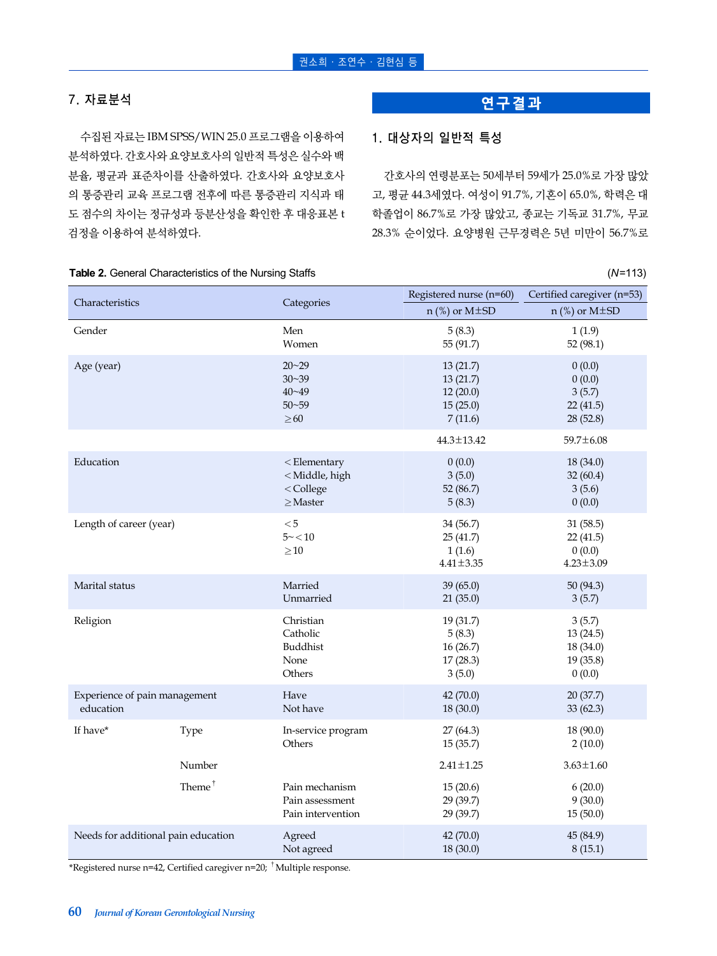## 7. 자료분석

수집된 자료는 IBM SPSS/WIN 25.0 프로그램을 이용하여 분석하였다. 간호사와 요양보호사의 일반적 특성은 실수와 백 분율, 평균과 표준차이를 산출하였다. 간호사와 요양보호사 의 통증관리 교육 프로그램 전후에 따른 통증관리 지식과 태 도 점수의 차이는 정규성과 등분산성을 확인한 후 대응표본 t 검정을 이용하여 분석하였다.

# **연구결과**

## 1. 대상자의 일반적 특성

간호사의 연령분포는 50세부터 59세가 25.0%로 가장 많았 고, 평균 44.3세였다. 여성이 91.7%, 기혼이 65.0%, 학력은 대 학졸업이 86.7%로 가장 많았고, 종교는 기독교 31.7%, 무교 28.3% 순이었다. 요양병원 근무경력은 5년 미만이 56.7%로

| Characteristics                     |                    |                                                                                | Registered nurse (n=60)                             | Certified caregiver (n=53)                         |  |
|-------------------------------------|--------------------|--------------------------------------------------------------------------------|-----------------------------------------------------|----------------------------------------------------|--|
|                                     |                    | Categories                                                                     | $n$ (%) or M $\pm$ SD                               | $n$ (%) or M $\pm$ SD                              |  |
| Gender                              |                    | Men                                                                            | 5(8.3)                                              | 1(1.9)                                             |  |
|                                     |                    | Women                                                                          | 55 (91.7)                                           | 52 (98.1)                                          |  |
| Age (year)                          |                    | $20 - 29$                                                                      | 13(21.7)                                            | 0(0.0)                                             |  |
|                                     |                    | $30 - 39$                                                                      | 13(21.7)                                            | 0(0.0)                                             |  |
|                                     |                    | $40 - 49$                                                                      | 12(20.0)                                            | 3(5.7)                                             |  |
|                                     |                    | $50 - 59$                                                                      | 15(25.0)                                            | 22(41.5)                                           |  |
|                                     |                    | $\geq\!60$                                                                     | 7(11.6)                                             | 28 (52.8)                                          |  |
|                                     |                    |                                                                                | 44.3±13.42                                          | 59.7±6.08                                          |  |
| Education                           |                    | $<$ Elementary                                                                 | 0(0.0)                                              | 18 (34.0)                                          |  |
|                                     |                    | <middle, high<="" td=""><td>3(5.0)</td><td colspan="2">32(60.4)</td></middle,> | 3(5.0)                                              | 32(60.4)                                           |  |
|                                     |                    | < College                                                                      | 52 (86.7)                                           | 3(5.6)                                             |  |
|                                     |                    | $\geq$ Master                                                                  | 5(8.3)                                              | 0(0.0)                                             |  |
| Length of career (year)             |                    | < 5<br>$5 - < 10$<br>$\geq 10$                                                 | 34 (56.7)<br>25 (41.7)<br>1(1.6)<br>$4.41 \pm 3.35$ | 31 (58.5)<br>22(41.5)<br>0(0.0)<br>$4.23 \pm 3.09$ |  |
| Marital status                      |                    | Married                                                                        | 39 (65.0)                                           | 50 (94.3)                                          |  |
|                                     |                    | Unmarried                                                                      | 21(35.0)                                            | 3(5.7)                                             |  |
| Religion                            |                    | Christian                                                                      | 19 (31.7)                                           | 3(5.7)                                             |  |
|                                     |                    | Catholic                                                                       | 5(8.3)                                              | 13(24.5)                                           |  |
|                                     |                    | Buddhist                                                                       | 16(26.7)                                            | 18 (34.0)                                          |  |
|                                     |                    | None                                                                           | 17(28.3)                                            | 19(35.8)                                           |  |
|                                     |                    | Others                                                                         | 3(5.0)                                              | 0(0.0)                                             |  |
| Experience of pain management       |                    | Have                                                                           | 42 (70.0)                                           | 20(37.7)                                           |  |
| education                           |                    | Not have                                                                       | 18 (30.0)                                           | 33(62.3)                                           |  |
| If have*                            | Type               | In-service program<br>Others                                                   | 27 (64.3)<br>15(35.7)                               | 18 (90.0)<br>2(10.0)                               |  |
|                                     | Number             |                                                                                | $2.41 \pm 1.25$                                     | $3.63 \pm 1.60$                                    |  |
|                                     | Theme <sup>†</sup> | Pain mechanism<br>Pain assessment<br>Pain intervention                         | 15(20.6)<br>29 (39.7)<br>29 (39.7)                  | 6(20.0)<br>9(30.0)<br>15(50.0)                     |  |
| Needs for additional pain education |                    | Agreed                                                                         | 42 (70.0)                                           | 45 (84.9)                                          |  |
|                                     |                    | Not agreed                                                                     | 18 (30.0)                                           | 8(15.1)                                            |  |

\*Registered nurse n=42, Certified caregiver n=20; <sup>†</sup>Multiple response.

### **Table 2.** General Characteristics of the Nursing Staffs (*N*=113)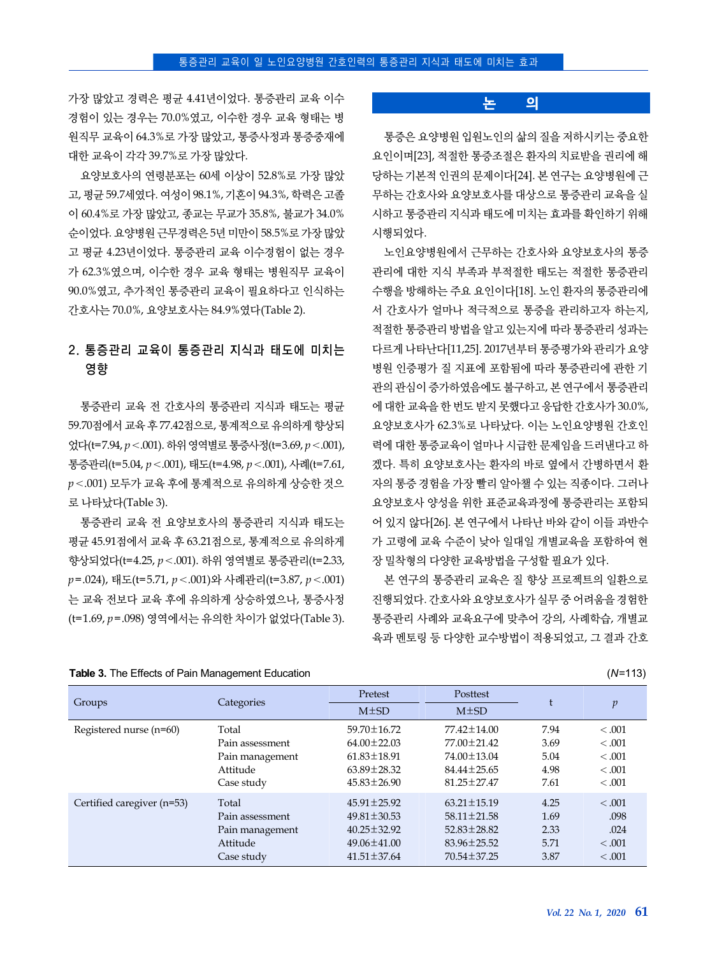가장 많았고 경력은 평균 4.41년이었다. 통증관리 교육 이수 경험이 있는 경우는 70.0%였고, 이수한 경우 교육 형태는 병 원직무 교육이 64.3%로 가장 많았고, 통증사정과 통증중재에 대한 교육이 각각 39.7%로 가장 많았다.

요양보호사의 연령분포는 60세 이상이 52.8%로 가장 많았 고, 평균 59.7세였다. 여성이 98.1%, 기혼이 94.3%, 학력은 고졸 이 60.4%로 가장 많았고, 종교는 무교가 35.8%, 불교가 34.0% 순이었다. 요양병원 근무경력은 5년 미만이 58.5%로 가장 많았 고 평균 4.23년이었다. 통증관리 교육 이수경험이 없는 경우 가 62.3%였으며, 이수한 경우 교육 형태는 병원직무 교육이 90.0%였고, 추가적인 통증관리 교육이 필요하다고 인식하는 간호사는 70.0%, 요양보호사는 84.9%였다(Table 2).

# 2. 통증관리 교육이 통증관리 지식과 태도에 미치는 영향

통증관리 교육 전 간호사의 통증관리 지식과 태도는 평균 59.70점에서 교육 후 77.42점으로, 통계적으로 유의하게 향상되 었다(t=7.94, *p*<.001). 하위 영역별로 통증사정(t=3.69, *p*<.001), 통증관리(t=5.04, *p*<.001), 태도(t=4.98, *p*<.001), 사례(t=7.61, *p*<.001) 모두가 교육 후에 통계적으로 유의하게 상승한 것으 로 나타났다(Table 3).

통증관리 교육 전 요양보호사의 통증관리 지식과 태도는 평균 45.91점에서 교육 후 63.21점으로, 통계적으로 유의하게 향상되었다(t=4.25, *p*<.001). 하위 영역별로 통증관리(t=2.33, *p*=.024), 태도(t=5.71, *p*<.001)와 사례관리(t=3.87, *p*<.001) 는 교육 전보다 교육 후에 유의하게 상승하였으나, 통증사정 (t=1.69, *p*=.098) 영역에서는 유의한 차이가 없었다(Table 3).

#### **Table 3.** The Effects of Pain Management Education (*N*=113)

#### **논 의**

통증은 요양병원 입원노인의 삶의 질을 저하시키는 중요한 요인이며[23], 적절한 통증조절은 환자의 치료받을 권리에 해 당하는 기본적 인권의 문제이다[24]. 본 연구는 요양병원에 근 무하는 간호사와 요양보호사를 대상으로 통증관리 교육을 실 시하고 통증관리 지식과 태도에 미치는 효과를 확인하기 위해 시행되었다.

노인요양병원에서 근무하는 간호사와 요양보호사의 통증 관리에 대한 지식 부족과 부적절한 태도는 적절한 통증관리 수행을 방해하는 주요 요인이다[18]. 노인 환자의 통증관리에 서 간호사가 얼마나 적극적으로 통증을 관리하고자 하는지, 적절한 통증관리 방법을 알고 있는지에 따라 통증관리 성과는 다르게 나타난다[11,25]. 2017년부터 통증평가와 관리가 요양 병원 인증평가 질 지표에 포함됨에 따라 통증관리에 관한 기 관의 관심이 증가하였음에도 불구하고, 본 연구에서 통증관리 에 대한 교육을 한 번도 받지 못했다고 응답한 간호사가 30.0%, 요양보호사가 62.3%로 나타났다. 이는 노인요양병원 간호인 력에 대한 통증교육이 얼마나 시급한 문제임을 드러낸다고 하 겠다. 특히 요양보호사는 환자의 바로 옆에서 간병하면서 환 자의 통증 경험을 가장 빨리 알아챌 수 있는 직종이다. 그러나 요양보호사 양성을 위한 표준교육과정에 통증관리는 포함되 어 있지 않다[26]. 본 연구에서 나타난 바와 같이 이들 과반수 가 고령에 교육 수준이 낮아 일대일 개별교육을 포함하여 현 장 밀착형의 다양한 교육방법을 구성할 필요가 있다.

본 연구의 통증관리 교육은 질 향상 프로젝트의 일환으로 진행되었다. 간호사와 요양보호사가 실무 중 어려움을 경험한 통증관리 사례와 교육요구에 맞추어 강의, 사례학습, 개별교 육과 멘토링 등 다양한 교수방법이 적용되었고, 그 결과 간호

| Groups                     | Categories      | Pretest<br>$M\pm SD$ | Posttest<br>$M\pm SD$ |      | $\mathfrak{p}$ |
|----------------------------|-----------------|----------------------|-----------------------|------|----------------|
| Registered nurse (n=60)    | Total           | 59.70 ± 16.72        | 77.42±14.00           | 7.94 | < 0.001        |
|                            | Pain assessment | $64.00 \pm 22.03$    | 77.00 ± 21.42         | 3.69 | < 0.001        |
|                            | Pain management | $61.83 \pm 18.91$    | 74.00 ± 13.04         | 5.04 | < 0.001        |
|                            | Attitude        | $63.89 \pm 28.32$    | $84.44 \pm 25.65$     | 4.98 | < 0.001        |
|                            | Case study      | $45.83 \pm 26.90$    | $81.25 \pm 27.47$     | 7.61 | < 0.001        |
| Certified caregiver (n=53) | Total           | $45.91 \pm 25.92$    | $63.21 \pm 15.19$     | 4.25 | < 0.001        |
|                            | Pain assessment | $49.81 \pm 30.53$    | $58.11 \pm 21.58$     | 1.69 | .098           |
|                            | Pain management | $40.25 \pm 32.92$    | 52.83±28.82           | 2.33 | .024           |
|                            | Attitude        | $49.06 \pm 41.00$    | $83.96 \pm 25.52$     | 5.71 | < 0.001        |
|                            | Case study      | $41.51 \pm 37.64$    | 70.54 ± 37.25         | 3.87 | < 0.001        |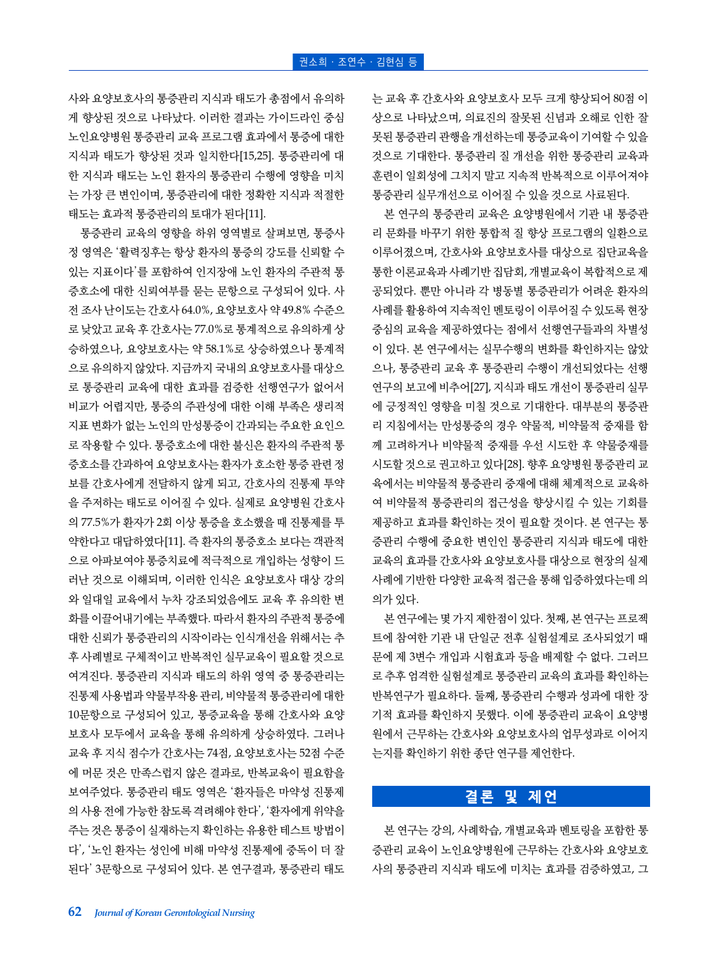사와 요양보호사의 통증관리 지식과 태도가 총점에서 유의하 게 향상된 것으로 나타났다. 이러한 결과는 가이드라인 중심 노인요양병원 통증관리 교육 프로그램 효과에서 통증에 대한 지식과 태도가 향상된 것과 일치한다[15,25]. 통증관리에 대 한 지식과 태도는 노인 환자의 통증관리 수행에 영향을 미치 는 가장 큰 변인이며, 통증관리에 대한 정확한 지식과 적절한 태도는 효과적 통증관리의 토대가 된다[11].

통증관리 교육의 영향을 하위 영역별로 살펴보면, 통증사 정 영역은 '활력징후는 항상 환자의 통증의 강도를 신뢰할 수 있는 지표이다'를 포함하여 인지장애 노인 환자의 주관적 통 증호소에 대한 신뢰여부를 묻는 문항으로 구성되어 있다. 사 전 조사 난이도는 간호사 64.0%, 요양보호사 약 49.8% 수준으 로 낮았고 교육 후 간호사는 77.0%로 통계적으로 유의하게 상 승하였으나, 요양보호사는 약 58.1%로 상승하였으나 통계적 으로 유의하지 않았다. 지금까지 국내의 요양보호사를 대상으 로 통증관리 교육에 대한 효과를 검증한 선행연구가 없어서 비교가 어렵지만, 통증의 주관성에 대한 이해 부족은 생리적 지표 변화가 없는 노인의 만성통증이 간과되는 주요한 요인으 로 작용할 수 있다. 통증호소에 대한 불신은 환자의 주관적 통 증호소를 간과하여 요양보호사는 환자가 호소한 통증 관련 정 보를 간호사에게 전달하지 않게 되고, 간호사의 진통제 투약 을 주저하는 태도로 이어질 수 있다. 실제로 요양병원 간호사 의 77.5%가 환자가 2회 이상 통증을 호소했을 때 진통제를 투 약한다고 대답하였다[11]. 즉 환자의 통증호소 보다는 객관적 으로 아파보여야 통증치료에 적극적으로 개입하는 성향이 드 러난 것으로 이해되며, 이러한 인식은 요양보호사 대상 강의 와 일대일 교육에서 누차 강조되었음에도 교육 후 유의한 변 화를 이끌어내기에는 부족했다. 따라서 환자의 주관적 통증에 대한 신뢰가 통증관리의 시작이라는 인식개선을 위해서는 추 후 사례별로 구체적이고 반복적인 실무교육이 필요할 것으로 여겨진다. 통증관리 지식과 태도의 하위 영역 중 통증관리는 진통제 사용법과 약물부작용 관리, 비약물적 통증관리에 대한 10문항으로 구성되어 있고, 통증교육을 통해 간호사와 요양 보호사 모두에서 교육을 통해 유의하게 상승하였다. 그러나 교육 후 지식 점수가 간호사는 74점, 요양보호사는 52점 수준 에 머문 것은 만족스럽지 않은 결과로, 반복교육이 필요함을 보여주었다. 통증관리 태도 영역은 '환자들은 마약성 진통제 의 사용 전에 가능한 참도록 격려해야 한다', '환자에게 위약을 주는 것은 통증이 실재하는지 확인하는 유용한 테스트 방법이 다', '노인 환자는 성인에 비해 마약성 진통제에 중독이 더 잘 된다' 3문항으로 구성되어 있다. 본 연구결과, 통증관리 태도

는 교육 후 간호사와 요양보호사 모두 크게 향상되어 80점 이 상으로 나타났으며, 의료진의 잘못된 신념과 오해로 인한 잘 못된 통증관리 관행을 개선하는데 통증교육이 기여할 수 있을 것으로 기대한다. 통증관리 질 개선을 위한 통증관리 교육과 훈련이 일회성에 그치지 말고 지속적 반복적으로 이루어져야 통증관리 실무개선으로 이어질 수 있을 것으로 사료된다.

본 연구의 통증관리 교육은 요양병원에서 기관 내 통증관 리 문화를 바꾸기 위한 통합적 질 향상 프로그램의 일환으로 이루어졌으며, 간호사와 요양보호사를 대상으로 집단교육을 통한 이론교육과 사례기반 집담회, 개별교육이 복합적으로 제 공되었다. 뿐만 아니라 각 병동별 통증관리가 어려운 환자의 사례를 활용하여 지속적인 멘토링이 이루어질 수 있도록 현장 중심의 교육을 제공하였다는 점에서 선행연구들과의 차별성 이 있다. 본 연구에서는 실무수행의 변화를 확인하지는 않았 으나, 통증관리 교육 후 통증관리 수행이 개선되었다는 선행 연구의 보고에 비추어[27], 지식과 태도 개선이 통증관리 실무 에 긍정적인 영향을 미칠 것으로 기대한다. 대부분의 통증관 리 지침에서는 만성통증의 경우 약물적, 비약물적 중재를 함 께 고려하거나 비약물적 중재를 우선 시도한 후 약물중재를 시도할 것으로 권고하고 있다[28]. 향후 요양병원 통증관리 교 육에서는 비약물적 통증관리 중재에 대해 체계적으로 교육하 여 비약물적 통증관리의 접근성을 향상시킬 수 있는 기회를 제공하고 효과를 확인하는 것이 필요할 것이다. 본 연구는 통 증관리 수행에 중요한 변인인 통증관리 지식과 태도에 대한 교육의 효과를 간호사와 요양보호사를 대상으로 현장의 실제 사례에 기반한 다양한 교육적 접근을 통해 입증하였다는데 의 의가 있다.

본 연구에는 몇 가지 제한점이 있다. 첫째, 본 연구는 프로젝 트에 참여한 기관 내 단일군 전후 실험설계로 조사되었기 때 문에 제 3변수 개입과 시험효과 등을 배제할 수 없다. 그러므 로 추후 엄격한 실험설계로 통증관리 교육의 효과를 확인하는 반복연구가 필요하다. 둘째, 통증관리 수행과 성과에 대한 장 기적 효과를 확인하지 못했다. 이에 통증관리 교육이 요양병 원에서 근무하는 간호사와 요양보호사의 업무성과로 이어지 는지를 확인하기 위한 종단 연구를 제언한다.

# **결론 및 제언**

본 연구는 강의, 사례학습, 개별교육과 멘토링을 포함한 통 증관리 교육이 노인요양병원에 근무하는 간호사와 요양보호 사의 통증관리 지식과 태도에 미치는 효과를 검증하였고, 그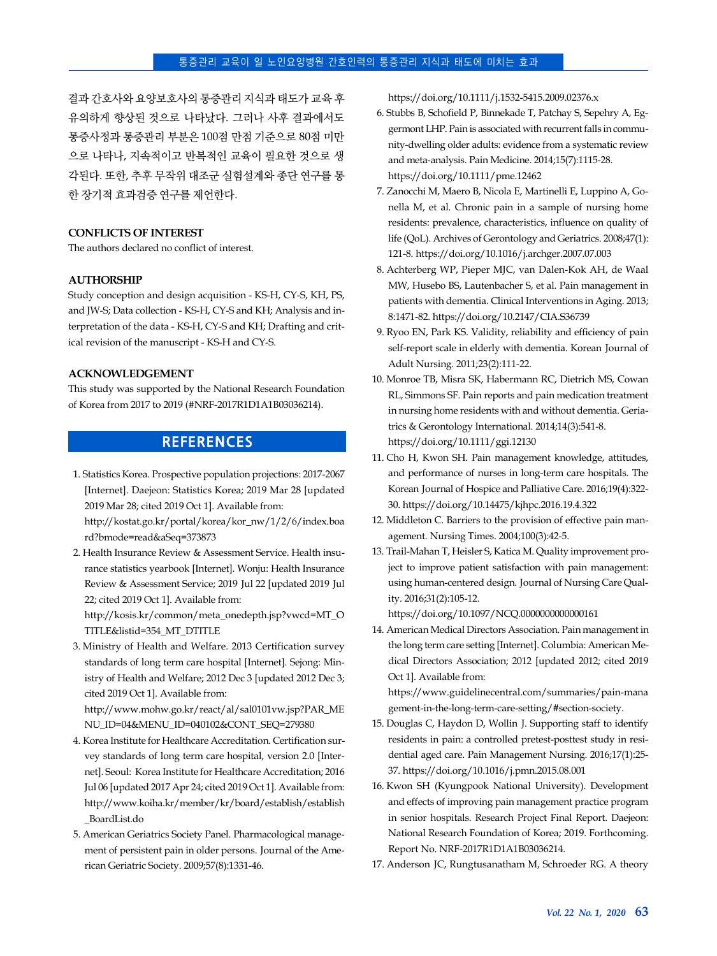#### 통증관리 교육이 일 노인요양병원 간호인력의 통증관리 지식과 태도에 미치는 효과

결과 간호사와 요양보호사의 통증관리 지식과 태도가 교육 후 유의하게 향상된 것으로 나타났다. 그러나 사후 결과에서도 통증사정과 통증관리 부분은 100점 만점 기준으로 80점 미만 으로 나타나, 지속적이고 반복적인 교육이 필요한 것으로 생 각된다. 또한, 추후 무작위 대조군 실험설계와 종단 연구를 통 한 장기적 효과검증 연구를 제언한다.

#### **CONFLICTS OF INTEREST**

The authors declared no conflict of interest.

#### **AUTHORSHIP**

Study conception and design acquisition - KS-H, CY-S, KH, PS, and JW-S; Data collection - KS-H, CY-S and KH; Analysis and interpretation of the data - KS-H, CY-S and KH; Drafting and critical revision of the manuscript - KS-H and CY-S.

#### **ACKNOWLEDGEMENT**

This study was supported by the National Research Foundation of Korea from 2017 to 2019 (#NRF-2017R1D1A1B03036214).

## **REFERENCES**

1. Statistics Korea. Prospective population projections: 2017-2067 [Internet]. Daejeon: Statistics Korea; 2019 Mar 28 [updated 2019 Mar 28; cited 2019 Oct 1]. Available from:

[http://kostat.go.kr/portal/korea/kor\\_nw/1/2/6/index.boa](http://kostat.go.kr/portal/korea/kor_nw/1/2/6/index.board?bmode=read&aSeq=373873) rd?bmode=read&aSeq=373873

2. Health Insurance Review & Assessment Service. Health insurance statistics yearbook [Internet]. Wonju: Health Insurance Review & Assessment Service; 2019 Jul 22 [updated 2019 Jul 22; cited 2019 Oct 1]. Available from:

[http://kosis.kr/common/meta\\_onedepth.jsp?vwcd=MT\\_O](http://kosis.kr/common/meta_onedepth.jsp?vwcd=MT_OTITLE&listid=354_MT_DTITLE) TITLE&listid=354\_MT\_DTITLE

3. Ministry of Health and Welfare. 2013 Certification survey standards of long term care hospital [Internet]. Sejong: Ministry of Health and Welfare; 2012 Dec 3 [updated 2012 Dec 3; cited 2019 Oct 1]. Available from:

[http://www.mohw.go.kr/react/al/sal0101vw.jsp?PAR\\_ME](http://www.mohw.go.kr/react/al/sal0101vw.jsp?PAR_MENU_ID=04&MENU_ID=040102&CONT_SEQ=279380) NU\_ID=04&MENU\_ID=040102&CONT\_SEQ=279380

- 4. Korea Institute for Healthcare Accreditation. Certification survey standards of long term care hospital, version 2.0 [Internet]. Seoul: Korea Institute for Healthcare Accreditation; 2016 Jul 06 [updated 2017 Apr 24; cited 2019 Oct 1]. Available from: [http://www.koiha.kr/member/kr/board/establish/establish](http://www.koiha.kr/member/kr/board/establish/establish_BoardList.do) \_BoardList.do
- 5. American Geriatrics Society Panel. Pharmacological management of persistent pain in older persons. Journal of the American Geriatric Society. 2009;57(8):1331-46.

https://doi.org/10.1111/j.1532-5415.2009.02376.x

- 6. Stubbs B, Schofield P, Binnekade T, Patchay S, Sepehry A, Eggermont LHP. Pain is associated with recurrent falls in community-dwelling older adults: evidence from a systematic review and meta-analysis. Pain Medicine. 2014;15(7):1115-28. https://doi.org/10.1111/pme.12462
- 7. Zanocchi M, Maero B, Nicola E, Martinelli E, Luppino A, Gonella M, et al. Chronic pain in a sample of nursing home residents: prevalence, characteristics, influence on quality of life (QoL). Archives of Gerontology and Geriatrics. 2008;47(1): 121-8. https://doi.org/10.1016/j.archger.2007.07.003
- 8. Achterberg WP, Pieper MJC, van Dalen-Kok AH, de Waal MW, Husebo BS, Lautenbacher S, et al. Pain management in patients with dementia. Clinical Interventions in Aging. 2013; 8:1471-82. https://doi.org/10.2147/CIA.S36739
- 9. Ryoo EN, Park KS. Validity, reliability and efficiency of pain self-report scale in elderly with dementia. Korean Journal of Adult Nursing. 2011;23(2):111-22.
- 10. Monroe TB, Misra SK, Habermann RC, Dietrich MS, Cowan RL, Simmons SF. Pain reports and pain medication treatment in nursing home residents with and without dementia. Geriatrics & Gerontology International. 2014;14(3):541-8. https://doi.org/10.1111/ggi.12130
- 11. Cho H, Kwon SH. Pain management knowledge, attitudes, and performance of nurses in long-term care hospitals. The Korean Journal of Hospice and Palliative Care. 2016;19(4):322- 30. https://doi.org/10.14475/kjhpc.2016.19.4.322
- 12. Middleton C. Barriers to the provision of effective pain management. Nursing Times. 2004;100(3):42-5.
- 13. Trail-Mahan T, Heisler S, Katica M. Quality improvement project to improve patient satisfaction with pain management: using human-centered design. Journal of Nursing Care Quality. 2016;31(2):105-12.

https://doi.org/10.1097/NCQ.0000000000000161

14. American Medical Directors Association. Pain management in the long term care setting [Internet]. Columbia: American Medical Directors Association; 2012 [updated 2012; cited 2019 Oct 1]. Available from:

[https://www.guidelinecentral.com/summaries/pain-mana](https://www.guidelinecentral.com/summaries/pain-management-in-the-long-term-care-setting/#section-society) gement-in-the-long-term-care-setting/#section-society.

- 15. Douglas C, Haydon D, Wollin J. Supporting staff to identify residents in pain: a controlled pretest-posttest study in residential aged care. Pain Management Nursing. 2016;17(1):25- 37. https://doi.org/10.1016/j.pmn.2015.08.001
- 16. Kwon SH (Kyungpook National University). Development and effects of improving pain management practice program in senior hospitals. Research Project Final Report. Daejeon: National Research Foundation of Korea; 2019. Forthcoming. Report No. NRF-2017R1D1A1B03036214.
- 17. Anderson JC, Rungtusanatham M, Schroeder RG. A theory